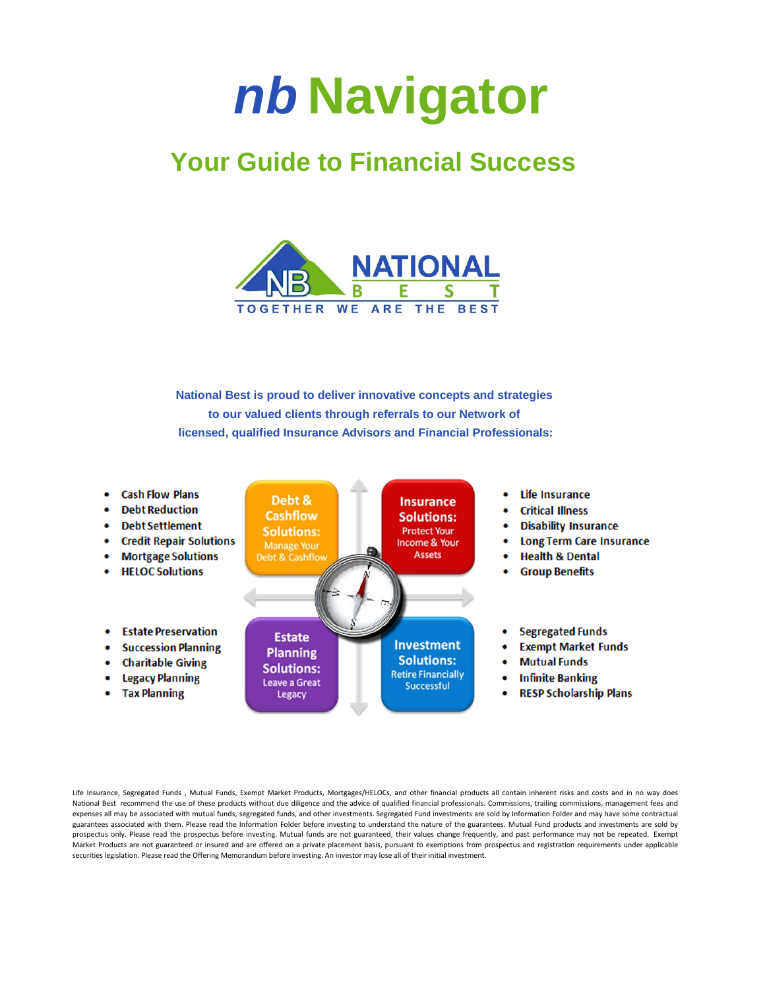## *nb* **Navigator**

## **Your Guide to Financial Success**



**National Best is proud to deliver innovative concepts and strategies to our valued clients through referrals to our Network of licensed, qualified Insurance Advisors and Financial Professionals:**

**Cash Flow Plans** Life Insurance Debt & **Insurance Debt Reduction Critical Illness Cashflow Solutions: Debt Settlement Disability Insurance Solutions: Protect Your Credit Repair Solutions Long Term Care Insurance** Income & Your **Manage Your Assets Mortgage Solutions Health & Dental** Debt & Cashflow **HELOC Solutions Group Benefits Estate Preservation Segregated Funds Estate Investment Succession Planning Exempt Market Funds Planning Solutions: Mutual Funds Charitable Giving Solutions: Retire Financially Legacy Planning Infinite Banking Leave a Great** Successful **Tax Planning RESP Scholarship Plans** Legacy

Life Insurance, Segregated Funds , Mutual Funds, Exempt Market Products, Mortgages/HELOCs, and other financial products all contain inherent risks and costs and in no way does National Best recommend the use of these products without due diligence and the advice of qualified financial professionals. Commissions, trailing commissions, management fees and expenses all may be associated with mutual funds, segregated funds, and other investments. Segregated Fund investments are sold by Information Folder and may have some contractual guarantees associated with them. Please read the Information Folder before investing to understand the nature of the guarantees. Mutual Fund products and investments are sold by prospectus only. Please read the prospectus before investing. Mutual funds are not guaranteed, their values change frequently, and past performance may not be repeated. Exempt Market Products are not guaranteed or insured and are offered on a private placement basis, pursuant to exemptions from prospectus and registration requirements under applicable securities legislation. Please read the Offering Memorandum before investing. An investor may lose all of their initial investment.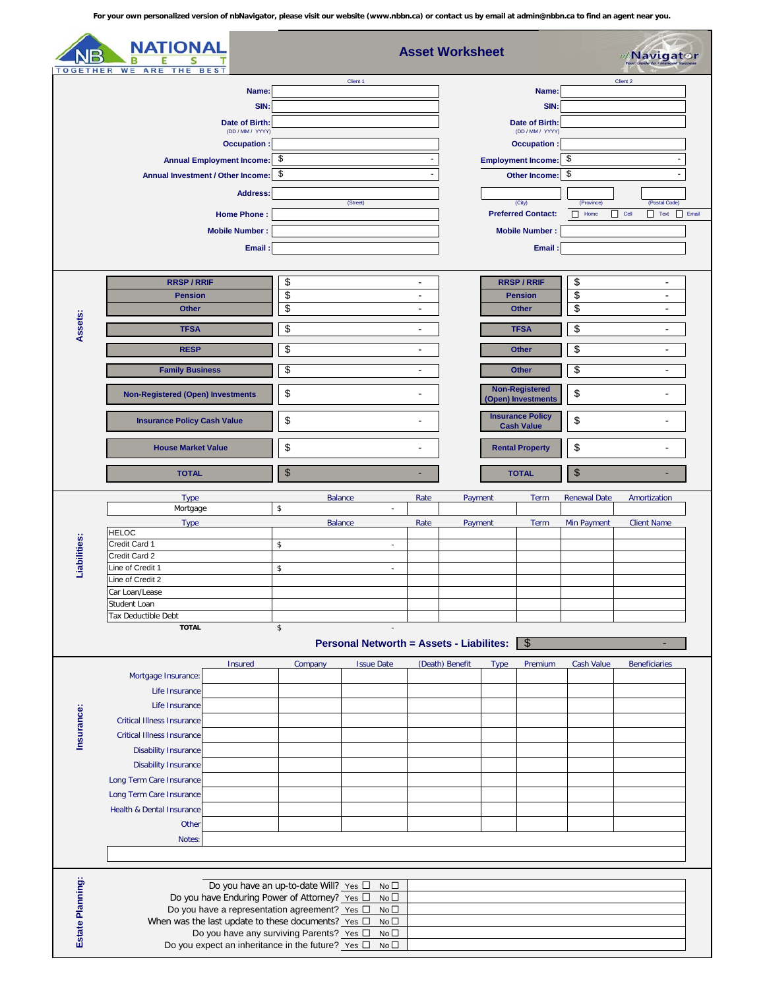|                                                     | WE ARE                                   |                                                                                                                                                                  | <b>Asset Worksheet</b><br><i>⊪</i> /Navigat⊙r |                                                       |                                                              |                                                                                             |                                                      |                                |                          |
|-----------------------------------------------------|------------------------------------------|------------------------------------------------------------------------------------------------------------------------------------------------------------------|-----------------------------------------------|-------------------------------------------------------|--------------------------------------------------------------|---------------------------------------------------------------------------------------------|------------------------------------------------------|--------------------------------|--------------------------|
| THER<br>THE<br><b>BES</b>                           |                                          |                                                                                                                                                                  | Client 1                                      |                                                       |                                                              |                                                                                             |                                                      | Client 2                       |                          |
| Name:<br>SIN:<br>Date of Birth:<br>(DD / MM / YYYY) |                                          |                                                                                                                                                                  |                                               |                                                       |                                                              | Name:                                                                                       |                                                      |                                |                          |
|                                                     |                                          |                                                                                                                                                                  |                                               |                                                       |                                                              | SIN:                                                                                        |                                                      |                                |                          |
|                                                     |                                          |                                                                                                                                                                  |                                               |                                                       |                                                              | Date of Birth:<br>(DD / MM / YYYY)                                                          |                                                      |                                |                          |
|                                                     |                                          | Occupation:                                                                                                                                                      |                                               |                                                       |                                                              | Occupation:                                                                                 |                                                      |                                |                          |
|                                                     |                                          | Annual Employment Income: \$                                                                                                                                     |                                               |                                                       |                                                              | <b>Employment Income:</b>                                                                   |                                                      | -\$                            |                          |
|                                                     |                                          | Annual Investment / Other Income: \$                                                                                                                             |                                               |                                                       | Other Income:                                                |                                                                                             |                                                      | -\$                            |                          |
|                                                     |                                          | <b>Address:</b>                                                                                                                                                  |                                               |                                                       |                                                              |                                                                                             |                                                      | (Postal Code)<br>(Province)    |                          |
|                                                     |                                          | <b>Home Phone:</b>                                                                                                                                               |                                               |                                                       | (City)<br><b>Preferred Contact:</b><br><b>Mobile Number:</b> |                                                                                             | $\Box$ Cell<br>$\Box$ Text $\Box$ Email<br>Home<br>H |                                |                          |
|                                                     |                                          | <b>Mobile Number:</b>                                                                                                                                            |                                               |                                                       |                                                              |                                                                                             |                                                      |                                |                          |
|                                                     |                                          | Email:                                                                                                                                                           |                                               |                                                       |                                                              | Email:                                                                                      |                                                      |                                |                          |
|                                                     |                                          |                                                                                                                                                                  |                                               |                                                       |                                                              |                                                                                             |                                                      |                                |                          |
|                                                     | <b>RRSP/RRIF</b>                         |                                                                                                                                                                  | \$<br>$\overline{\phantom{a}}$                |                                                       |                                                              | <b>RRSP/RRIF</b>                                                                            |                                                      | \$                             | $\blacksquare$           |
|                                                     | <b>Pension</b>                           |                                                                                                                                                                  | \$                                            |                                                       | $\overline{\phantom{a}}$                                     | <b>Pension</b>                                                                              |                                                      | \$<br>$\overline{\phantom{a}}$ |                          |
|                                                     | <b>Other</b>                             |                                                                                                                                                                  | \$                                            |                                                       | $\overline{\phantom{a}}$                                     | <b>Other</b>                                                                                |                                                      | \$<br>$\blacksquare$           |                          |
| Assets:                                             | <b>TFSA</b>                              |                                                                                                                                                                  | \$                                            |                                                       | $\overline{\phantom{a}}$                                     | <b>TFSA</b>                                                                                 |                                                      | \$                             | $\overline{\phantom{a}}$ |
|                                                     | <b>RESP</b>                              |                                                                                                                                                                  | \$<br>$\overline{\phantom{a}}$                |                                                       |                                                              | <b>Other</b>                                                                                |                                                      | \$<br>$\blacksquare$           |                          |
|                                                     | <b>Family Business</b>                   |                                                                                                                                                                  | \$                                            |                                                       | $\overline{\phantom{a}}$                                     | <b>Other</b>                                                                                |                                                      | \$<br>$\overline{\phantom{a}}$ |                          |
|                                                     |                                          |                                                                                                                                                                  |                                               |                                                       |                                                              |                                                                                             |                                                      |                                |                          |
|                                                     | <b>Non-Registered (Open) Investments</b> |                                                                                                                                                                  | \$                                            |                                                       |                                                              | <b>Non-Registered</b><br>(Open) Investments<br><b>Insurance Policy</b><br><b>Cash Value</b> |                                                      | \$<br>\$<br>ä,                 |                          |
|                                                     | <b>Insurance Policy Cash Value</b>       |                                                                                                                                                                  | \$                                            |                                                       |                                                              |                                                                                             |                                                      |                                |                          |
|                                                     | <b>House Market Value</b>                |                                                                                                                                                                  | \$                                            |                                                       |                                                              | <b>Rental Property</b>                                                                      |                                                      | \$<br>۰                        |                          |
|                                                     | <b>TOTAL</b>                             |                                                                                                                                                                  | $\boldsymbol{\mathsf{S}}$                     |                                                       |                                                              | <b>TOTAL</b>                                                                                |                                                      | \$                             |                          |
|                                                     | <b>Type</b>                              |                                                                                                                                                                  | \$                                            | <b>Balance</b><br>ä,                                  | Rate                                                         | Payment                                                                                     | Term                                                 | <b>Renewal Date</b>            | Amortization             |
|                                                     | Mortgage<br><b>Type</b>                  |                                                                                                                                                                  |                                               | <b>Balance</b>                                        | Rate                                                         | Payment                                                                                     | Term                                                 | Min Payment                    | <b>Client Name</b>       |
|                                                     | <b>HELOC</b>                             |                                                                                                                                                                  |                                               |                                                       |                                                              |                                                                                             |                                                      |                                |                          |
| Liabilities:                                        | Credit Card 1<br>Credit Card 2           |                                                                                                                                                                  | \$                                            | $\sim$                                                |                                                              |                                                                                             |                                                      |                                |                          |
|                                                     | Line of Credit 1                         |                                                                                                                                                                  | \$                                            | $\overline{\phantom{a}}$                              |                                                              |                                                                                             |                                                      |                                |                          |
|                                                     | Line of Credit 2<br>Car Loan/Lease       |                                                                                                                                                                  |                                               |                                                       |                                                              |                                                                                             |                                                      |                                |                          |
|                                                     | Student Loan                             |                                                                                                                                                                  |                                               |                                                       |                                                              |                                                                                             |                                                      |                                |                          |
|                                                     | Tax Deductible Debt                      |                                                                                                                                                                  |                                               |                                                       |                                                              |                                                                                             |                                                      |                                |                          |
|                                                     | <b>TOTAL</b>                             |                                                                                                                                                                  | \$                                            |                                                       |                                                              |                                                                                             |                                                      |                                |                          |
|                                                     |                                          |                                                                                                                                                                  |                                               |                                                       |                                                              |                                                                                             |                                                      |                                |                          |
|                                                     |                                          |                                                                                                                                                                  |                                               |                                                       | <b>Personal Networth = Assets - Liabilites:</b>              | $\sqrt{3}$                                                                                  |                                                      |                                |                          |
|                                                     |                                          | Insured                                                                                                                                                          | Company                                       | <b>Issue Date</b>                                     | (Death) Benefit                                              | <b>Type</b>                                                                                 | Premium                                              | Cash Value                     | <b>Beneficiaries</b>     |
|                                                     | Mortgage Insurance:                      |                                                                                                                                                                  |                                               |                                                       |                                                              |                                                                                             |                                                      |                                |                          |
|                                                     | Life Insurance<br>Life Insurance         |                                                                                                                                                                  |                                               |                                                       |                                                              |                                                                                             |                                                      |                                |                          |
|                                                     | <b>Critical Illness Insurance</b>        |                                                                                                                                                                  |                                               |                                                       |                                                              |                                                                                             |                                                      |                                |                          |
|                                                     | <b>Critical Illness Insurance</b>        |                                                                                                                                                                  |                                               |                                                       |                                                              |                                                                                             |                                                      |                                |                          |
| Insurance:                                          | <b>Disability Insurance</b>              |                                                                                                                                                                  |                                               |                                                       |                                                              |                                                                                             |                                                      |                                |                          |
|                                                     | <b>Disability Insurance</b>              |                                                                                                                                                                  |                                               |                                                       |                                                              |                                                                                             |                                                      |                                |                          |
|                                                     | Long Term Care Insurance                 |                                                                                                                                                                  |                                               |                                                       |                                                              |                                                                                             |                                                      |                                |                          |
|                                                     | Long Term Care Insurance                 |                                                                                                                                                                  |                                               |                                                       |                                                              |                                                                                             |                                                      |                                |                          |
|                                                     | Health & Dental Insurance                |                                                                                                                                                                  |                                               |                                                       |                                                              |                                                                                             |                                                      |                                |                          |
|                                                     | Other                                    |                                                                                                                                                                  |                                               |                                                       |                                                              |                                                                                             |                                                      |                                |                          |
|                                                     | Notes:                                   |                                                                                                                                                                  |                                               |                                                       |                                                              |                                                                                             |                                                      |                                |                          |
|                                                     |                                          |                                                                                                                                                                  |                                               |                                                       |                                                              |                                                                                             |                                                      |                                |                          |
|                                                     |                                          |                                                                                                                                                                  | Do you have an up-to-date Will? Yes □         | $No\square$                                           |                                                              |                                                                                             |                                                      |                                |                          |
|                                                     |                                          | Do you have Enduring Power of Attorney? Yes □                                                                                                                    |                                               | $No\square$                                           |                                                              |                                                                                             |                                                      |                                |                          |
|                                                     |                                          | Do you have a representation agreement? Yes D                                                                                                                    |                                               | $No\square$                                           |                                                              |                                                                                             |                                                      |                                |                          |
| Estate Planning:                                    |                                          | When was the last update to these documents? Yes $\square$<br>Do you have any surviving Parents? Yes D<br>Do you expect an inheritance in the future? Yes $\Box$ |                                               | No <sub>1</sub><br>No <sub>1</sub><br>No <sub>1</sub> |                                                              |                                                                                             |                                                      |                                |                          |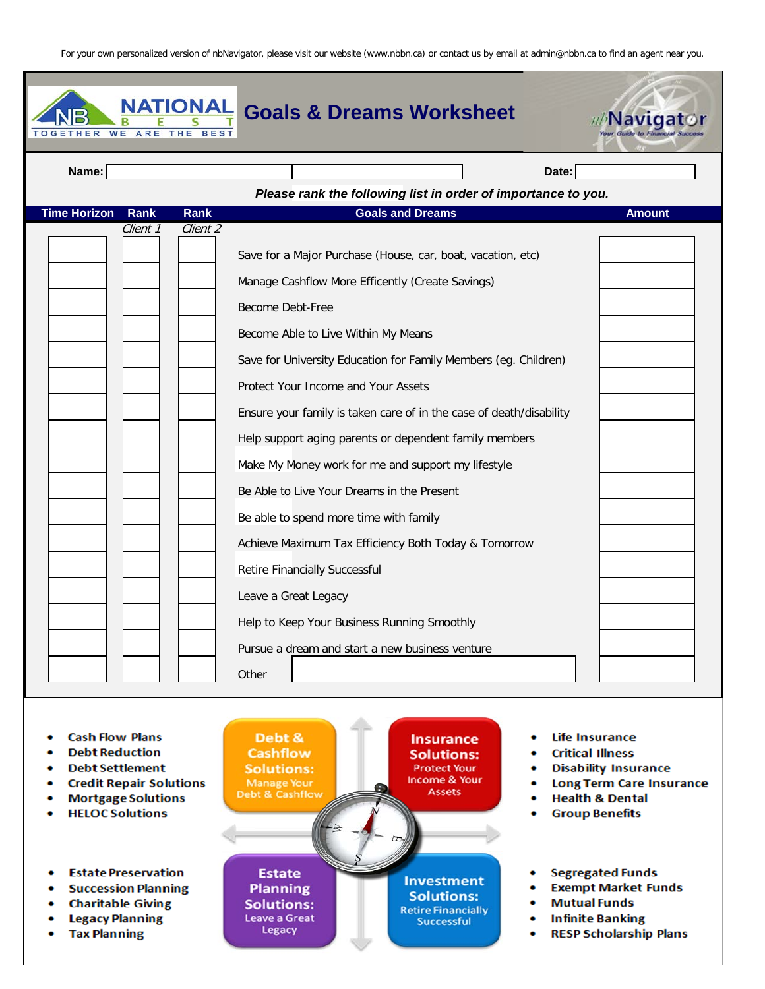| <b>WE</b><br>THER   | ARE         | <b>NATIONAL</b> | <b>Goals &amp; Dreams Worksheet</b>                                                                                                                                                                                                                                                                                                                                                                                                                                                                                                                                                                                                                                                  | ///Navigat    |
|---------------------|-------------|-----------------|--------------------------------------------------------------------------------------------------------------------------------------------------------------------------------------------------------------------------------------------------------------------------------------------------------------------------------------------------------------------------------------------------------------------------------------------------------------------------------------------------------------------------------------------------------------------------------------------------------------------------------------------------------------------------------------|---------------|
| Name:               |             |                 | Date:                                                                                                                                                                                                                                                                                                                                                                                                                                                                                                                                                                                                                                                                                |               |
|                     |             |                 | Please rank the following list in order of importance to you.                                                                                                                                                                                                                                                                                                                                                                                                                                                                                                                                                                                                                        |               |
| <b>Time Horizon</b> | <b>Rank</b> | Rank            | <b>Goals and Dreams</b>                                                                                                                                                                                                                                                                                                                                                                                                                                                                                                                                                                                                                                                              | <b>Amount</b> |
|                     | Client 1    | Client 2        | Save for a Major Purchase (House, car, boat, vacation, etc)<br>Manage Cashflow More Efficently (Create Savings)<br>Become Debt-Free<br>Become Able to Live Within My Means<br>Save for University Education for Family Members (eg. Children)<br>Protect Your Income and Your Assets<br>Ensure your family is taken care of in the case of death/disability<br>Help support aging parents or dependent family members<br>Make My Money work for me and support my lifestyle<br>Be Able to Live Your Dreams in the Present<br>Be able to spend more time with family<br>Achieve Maximum Tax Efficiency Both Today & Tomorrow<br>Retire Financially Successful<br>Leave a Great Legacy |               |
|                     |             |                 | Help to Keep Your Business Running Smoothly<br>Pursue a dream and start a new business venture<br>Other                                                                                                                                                                                                                                                                                                                                                                                                                                                                                                                                                                              |               |

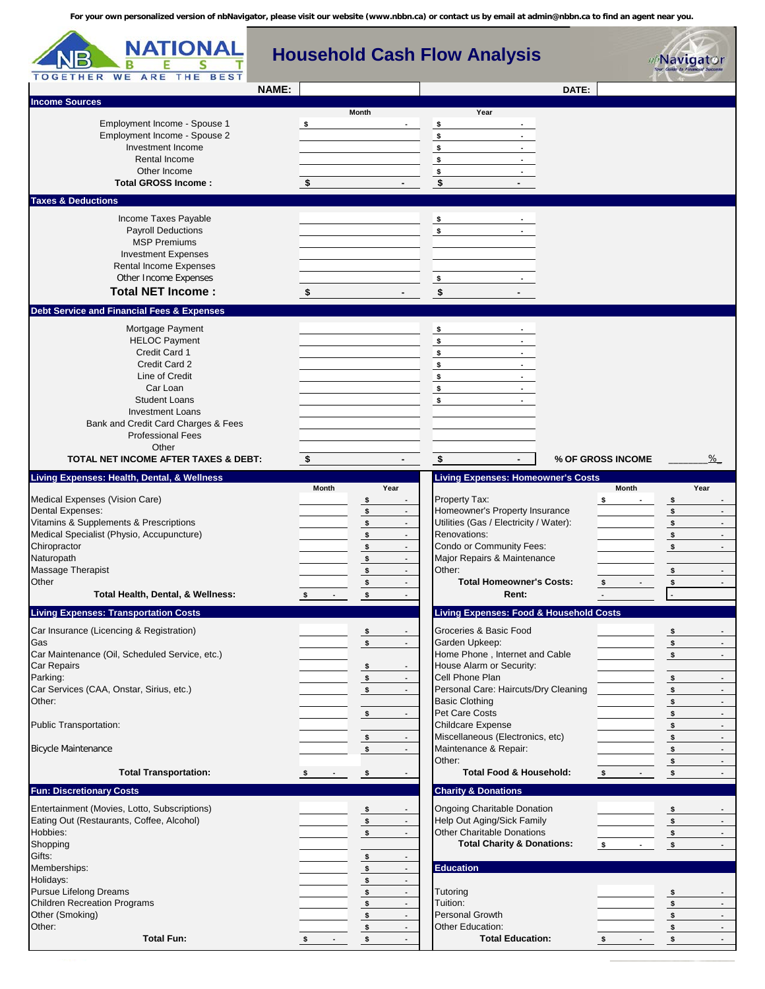| NATIONAL<br>в<br><b>TOGETHER</b><br><b>WE</b><br>ARE<br><b>BEST</b><br>THE                                                                                                                                                                                                                 | <b>Household Cash Flow Analysis</b>                                                                                                                                                                                                                                                                                                 |                                                                                                                                                                                                                                                                                  | <b>⊮Navigat⊙r</b>                                                                                                                                                                                               |
|--------------------------------------------------------------------------------------------------------------------------------------------------------------------------------------------------------------------------------------------------------------------------------------------|-------------------------------------------------------------------------------------------------------------------------------------------------------------------------------------------------------------------------------------------------------------------------------------------------------------------------------------|----------------------------------------------------------------------------------------------------------------------------------------------------------------------------------------------------------------------------------------------------------------------------------|-----------------------------------------------------------------------------------------------------------------------------------------------------------------------------------------------------------------|
| <b>NAME:</b>                                                                                                                                                                                                                                                                               |                                                                                                                                                                                                                                                                                                                                     | DATE:                                                                                                                                                                                                                                                                            |                                                                                                                                                                                                                 |
| <b>Income Sources</b><br>Employment Income - Spouse 1<br>Employment Income - Spouse 2<br>Investment Income<br>Rental Income<br>Other Income<br><b>Total GROSS Income:</b>                                                                                                                  | <b>Month</b><br>\$<br>$\sqrt{5}$                                                                                                                                                                                                                                                                                                    | Year<br>\$<br>\$<br>\$<br>$\frac{1}{2}$<br>$\blacksquare$<br>\$<br>$\blacksquare$<br>\$<br>$\blacksquare$                                                                                                                                                                        |                                                                                                                                                                                                                 |
| <b>Taxes &amp; Deductions</b>                                                                                                                                                                                                                                                              |                                                                                                                                                                                                                                                                                                                                     |                                                                                                                                                                                                                                                                                  |                                                                                                                                                                                                                 |
| Income Taxes Payable<br><b>Payroll Deductions</b><br><b>MSP Premiums</b><br><b>Investment Expenses</b><br>Rental Income Expenses<br>Other Income Expenses<br><b>Total NET Income:</b>                                                                                                      | \$                                                                                                                                                                                                                                                                                                                                  | \$<br>\$<br>$\sim$<br>$\boldsymbol{\mathsf{s}}$<br>\$                                                                                                                                                                                                                            |                                                                                                                                                                                                                 |
| <b>Debt Service and Financial Fees &amp; Expenses</b>                                                                                                                                                                                                                                      |                                                                                                                                                                                                                                                                                                                                     |                                                                                                                                                                                                                                                                                  |                                                                                                                                                                                                                 |
| Mortgage Payment<br><b>HELOC Payment</b><br>Credit Card 1<br>Credit Card 2<br>Line of Credit<br>Car Loan<br><b>Student Loans</b><br><b>Investment Loans</b><br>Bank and Credit Card Charges & Fees<br><b>Professional Fees</b><br>Other                                                    |                                                                                                                                                                                                                                                                                                                                     | \$<br>$\frac{1}{2}$<br>$\sim$<br>\$<br>$\sim$<br>\$<br>\$<br>\$<br>$\sim$<br>\$<br>$\sim$                                                                                                                                                                                        |                                                                                                                                                                                                                 |
| TOTAL NET INCOME AFTER TAXES & DEBT:                                                                                                                                                                                                                                                       | $\sqrt[6]{3}$<br>٠                                                                                                                                                                                                                                                                                                                  | \$                                                                                                                                                                                                                                                                               | $\%$<br>% OF GROSS INCOME                                                                                                                                                                                       |
| Living Expenses: Health, Dental, & Wellness                                                                                                                                                                                                                                                | Month<br>Year                                                                                                                                                                                                                                                                                                                       | <b>Living Expenses: Homeowner's Costs</b>                                                                                                                                                                                                                                        | Month<br>Year                                                                                                                                                                                                   |
| Medical Expenses (Vision Care)<br>Dental Expenses:<br>Vitamins & Supplements & Prescriptions<br>Medical Specialist (Physio, Accupuncture)<br>Chiropractor<br>Naturopath<br>Massage Therapist<br>Other<br>Total Health, Dental, & Wellness:<br><b>Living Expenses: Transportation Costs</b> | $\frac{1}{2}$<br>$\blacksquare$<br>$\sqrt{2}$<br>$\overline{\phantom{a}}$<br>$\sqrt{2}$<br>$\sim$<br>$\frac{1}{2}$<br>$\overline{\phantom{a}}$<br>$\sqrt{2}$<br>$\blacksquare$<br>$\sqrt{2}$<br>$\blacksquare$<br>$\sqrt{2}$<br>$\overline{\phantom{a}}$<br>\$<br>$\frac{1}{2}$<br>$\sqrt{s}$<br>$\sim$<br>$\overline{\phantom{a}}$ | Property Tax:<br>Homeowner's Property Insurance<br>Utilities (Gas / Electricity / Water):<br>Renovations:<br>Condo or Community Fees:<br>Major Repairs & Maintenance<br>Other:<br><b>Total Homeowner's Costs:</b><br>Rent:<br><b>Living Expenses: Food &amp; Household Costs</b> | \$<br>\$<br>$\sqrt{2}$<br>$\overline{\phantom{a}}$<br>$\sqrt{2}$<br>$\sim$<br>$\sqrt{s}$<br>$\overline{\phantom{a}}$<br>\$<br>$\blacksquare$<br>\$<br>\$<br>\$                                                  |
| Car Insurance (Licencing & Registration)                                                                                                                                                                                                                                                   | $\sqrt{2}$<br>$\overline{\phantom{a}}$                                                                                                                                                                                                                                                                                              | Groceries & Basic Food                                                                                                                                                                                                                                                           | $\mathsf{s}$                                                                                                                                                                                                    |
| Gas<br>Car Maintenance (Oil, Scheduled Service, etc.)<br><b>Car Repairs</b><br>Parking:<br>Car Services (CAA, Onstar, Sirius, etc.)<br>Other:<br>Public Transportation:                                                                                                                    | $\sqrt{s}$<br>$\sim$<br>$\sqrt{s}$<br>$\overline{\phantom{a}}$<br>$\sqrt{2}$<br>$\blacksquare$<br>$\pmb{\mathsf{s}}$<br>$\overline{\phantom{a}}$<br>$\sqrt{s}$<br>$\overline{\phantom{a}}$<br>$\blacksquare$                                                                                                                        | Garden Upkeep:<br>Home Phone, Internet and Cable<br>House Alarm or Security:<br>Cell Phone Plan<br>Personal Care: Haircuts/Dry Cleaning<br><b>Basic Clothing</b><br>Pet Care Costs<br><b>Childcare Expense</b><br>Miscellaneous (Electronics, etc)                               | $\sim$<br>$\sim$<br>$\sim$<br>$\sim$<br>$\sim$<br>$\frac{1}{2}$<br>$\sqrt{2}$<br>$\sim$<br>$\sim$<br>$\overline{\phantom{a}}$<br>\$<br>$\overline{\phantom{a}}$<br>$\sim$<br>$\sim$<br>$\overline{\phantom{a}}$ |
| <b>Bicycle Maintenance</b>                                                                                                                                                                                                                                                                 | $\frac{1}{2}$<br>\$<br>$\sim$                                                                                                                                                                                                                                                                                                       | Maintenance & Repair:                                                                                                                                                                                                                                                            | \$<br>\$<br>$\sim$                                                                                                                                                                                              |
|                                                                                                                                                                                                                                                                                            |                                                                                                                                                                                                                                                                                                                                     | Other:                                                                                                                                                                                                                                                                           | $\sqrt{s}$<br>$\sim$                                                                                                                                                                                            |
| <b>Total Transportation:</b>                                                                                                                                                                                                                                                               | $\sqrt{2}$<br>$\sim$ $\sim$                                                                                                                                                                                                                                                                                                         | <b>Total Food &amp; Household:</b>                                                                                                                                                                                                                                               | $\sim$<br>\$                                                                                                                                                                                                    |
| <b>Fun: Discretionary Costs</b>                                                                                                                                                                                                                                                            |                                                                                                                                                                                                                                                                                                                                     | <b>Charity &amp; Donations</b>                                                                                                                                                                                                                                                   |                                                                                                                                                                                                                 |
| Entertainment (Movies, Lotto, Subscriptions)<br>Eating Out (Restaurants, Coffee, Alcohol)<br>Hobbies:<br>Shopping<br>Gifts:                                                                                                                                                                | <u>_\$</u><br>$\overline{\phantom{a}}$<br>$\sqrt{2}$<br>$\blacksquare$<br>$\sqrt{s}$<br>$\overline{\phantom{a}}$<br>$\sqrt{2}$<br>$\overline{\phantom{a}}$                                                                                                                                                                          | <b>Ongoing Charitable Donation</b><br>Help Out Aging/Sick Family<br><b>Other Charitable Donations</b><br><b>Total Charity &amp; Donations:</b>                                                                                                                                   | $\sqrt{s}$<br>$\sim$<br>$\frac{\sqrt{2}}{2}$<br>$\sim$ $-$<br>$\sqrt{s}$<br>$\sim$<br>$\sim$<br>$\sim$                                                                                                          |
| Memberships:                                                                                                                                                                                                                                                                               | $\sqrt{s}$<br>$\overline{\phantom{a}}$                                                                                                                                                                                                                                                                                              | <b>Education</b>                                                                                                                                                                                                                                                                 |                                                                                                                                                                                                                 |
| Holidays:<br><b>Pursue Lifelong Dreams</b><br><b>Children Recreation Programs</b><br>Other (Smoking)<br>Other:<br><b>Total Fun:</b>                                                                                                                                                        | $\sqrt{2}$<br>$\sqrt{s}$<br>$\mathbb{Z}^{\mathbb{Z}}$<br>$\sqrt{s}$<br>$\blacksquare$<br>$\sqrt{2}$<br>$\blacksquare$<br>\$<br>$\sim$<br>$\sqrt{s}$<br>$\overline{\phantom{a}}$                                                                                                                                                     | Tutoring<br>Tuition:<br><b>Personal Growth</b><br>Other Education:<br><b>Total Education:</b>                                                                                                                                                                                    | <u>_\$</u><br>$\sqrt{s}$<br>$\sim$<br>$\sim$<br>$\sim$<br>$S = 1$<br>$\sim$<br>$\frac{1}{\sqrt{2}}$<br>$\sim$<br><u>_\$</u>                                                                                     |
|                                                                                                                                                                                                                                                                                            |                                                                                                                                                                                                                                                                                                                                     |                                                                                                                                                                                                                                                                                  |                                                                                                                                                                                                                 |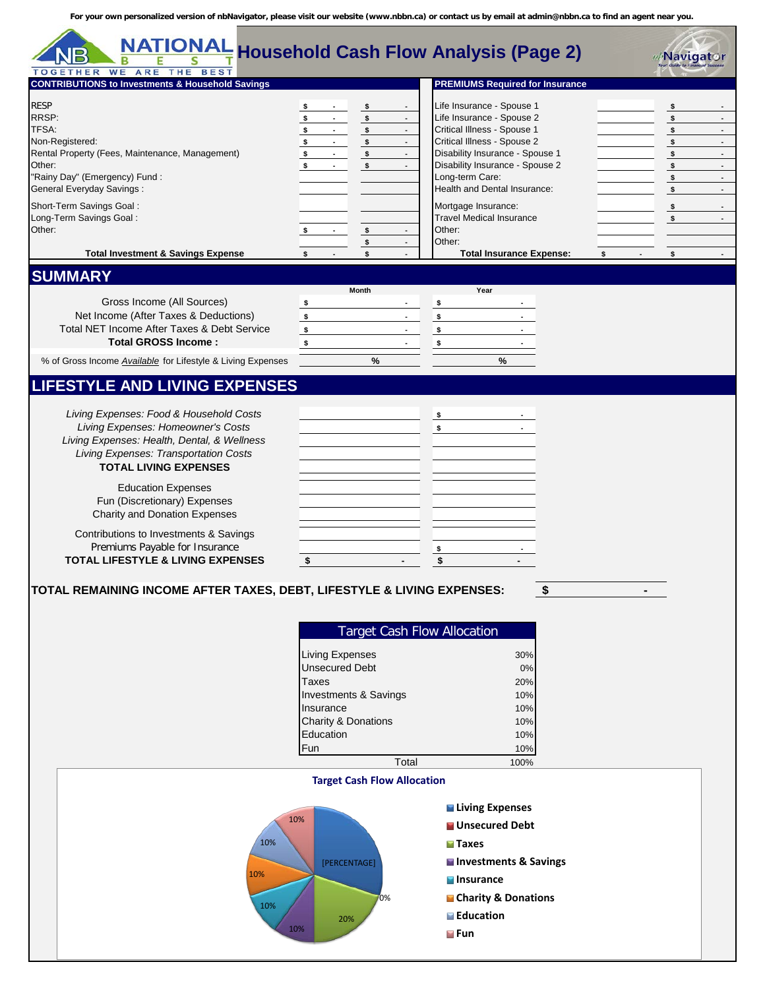| <b>NATIONAL</b><br><b>TOGETHER WE ARE THE BEST</b>                                                                                                                                                                                        |                                                                                                                                                                                                                                          | <b>Household Cash Flow Analysis (Page 2)</b>                                                                                                                                                                                                                                                            | <b><i>ub</i>Navigator</b>                                                                                                                                                                                                                                                               |
|-------------------------------------------------------------------------------------------------------------------------------------------------------------------------------------------------------------------------------------------|------------------------------------------------------------------------------------------------------------------------------------------------------------------------------------------------------------------------------------------|---------------------------------------------------------------------------------------------------------------------------------------------------------------------------------------------------------------------------------------------------------------------------------------------------------|-----------------------------------------------------------------------------------------------------------------------------------------------------------------------------------------------------------------------------------------------------------------------------------------|
| <b>CONTRIBUTIONS to Investments &amp; Household Savings</b>                                                                                                                                                                               |                                                                                                                                                                                                                                          | <b>PREMIUMS Required for Insurance</b>                                                                                                                                                                                                                                                                  |                                                                                                                                                                                                                                                                                         |
| <b>RESP</b><br>RRSP:<br>TFSA:<br>Non-Registered:<br>Rental Property (Fees, Maintenance, Management)<br>Other:<br>"Rainy Day" (Emergency) Fund:<br><b>General Everyday Savings:</b><br>Short-Term Savings Goal:<br>Long-Term Savings Goal: | \$<br>$\sqrt{s}$<br>$\sim$<br>$\sim 100$<br>$\blacksquare$<br>$\sim 100$<br>$\sqrt{s}$<br>\$<br>$\blacksquare$<br>$\sqrt{s}$<br>\$<br>$\blacksquare$<br>$\sim 100$<br>$\sqrt{5}$<br>$\sim$<br>\$<br>$\sqrt{s}$<br>\$<br>$\sim$<br>$\sim$ | Life Insurance - Spouse 1<br>Life Insurance - Spouse 2<br>Critical Illness - Spouse 1<br>Critical Illness - Spouse 2<br>Disability Insurance - Spouse 1<br>Disability Insurance - Spouse 2<br>Long-term Care:<br>Health and Dental Insurance:<br>Mortgage Insurance:<br><b>Travel Medical Insurance</b> | \$<br>$\blacksquare$<br>$\sqrt{2}$<br>$\overline{\phantom{a}}$<br>\$<br>$\overline{\phantom{a}}$<br>$\mathbb{L}^2$<br>$\sqrt{2}$<br>$\frac{1}{2}$<br>$\overline{\phantom{a}}$<br>\$<br>$\sim$<br>\$<br>$\blacksquare$<br>$\sqrt{2}$<br>$\overline{\phantom{a}}$<br>\$<br>$\blacksquare$ |
| Other:                                                                                                                                                                                                                                    | $\sqrt{2}$<br>$\blacksquare$<br>s.<br>$\sim 100$<br>\$<br>$\blacksquare$                                                                                                                                                                 | Other:<br>Other:                                                                                                                                                                                                                                                                                        |                                                                                                                                                                                                                                                                                         |
| <b>Total Investment &amp; Savings Expense</b>                                                                                                                                                                                             |                                                                                                                                                                                                                                          | <b>Total Insurance Expense:</b>                                                                                                                                                                                                                                                                         | \$<br>\$                                                                                                                                                                                                                                                                                |
| <b>SUMMARY</b>                                                                                                                                                                                                                            |                                                                                                                                                                                                                                          |                                                                                                                                                                                                                                                                                                         |                                                                                                                                                                                                                                                                                         |
| Gross Income (All Sources)<br>Net Income (After Taxes & Deductions)<br>Total NET Income After Taxes & Debt Service<br><b>Total GROSS Income:</b>                                                                                          | Month<br>\$<br>\$<br>\$<br>\$                                                                                                                                                                                                            | Year<br>\$<br>\$<br>\$<br>\$                                                                                                                                                                                                                                                                            |                                                                                                                                                                                                                                                                                         |
| % of Gross Income <b>Available</b> for Lifestyle & Living Expenses                                                                                                                                                                        | %                                                                                                                                                                                                                                        | %                                                                                                                                                                                                                                                                                                       |                                                                                                                                                                                                                                                                                         |
| <b>LIFESTYLE AND LIVING EXPENSES</b>                                                                                                                                                                                                      |                                                                                                                                                                                                                                          |                                                                                                                                                                                                                                                                                                         |                                                                                                                                                                                                                                                                                         |
| Living Expenses: Food & Household Costs<br>Living Expenses: Homeowner's Costs<br>Living Expenses: Health, Dental, & Wellness<br>Living Expenses: Transportation Costs<br><b>TOTAL LIVING EXPENSES</b>                                     |                                                                                                                                                                                                                                          | \$<br>\$                                                                                                                                                                                                                                                                                                |                                                                                                                                                                                                                                                                                         |
| <b>Education Expenses</b><br>Fun (Discretionary) Expenses<br><b>Charity and Donation Expenses</b><br>Contributions to Investments & Savings<br>Premiums Payable for Insurance<br><b>TOTAL LIFESTYLE &amp; LIVING EXPENSES</b>             | \$                                                                                                                                                                                                                                       | \$<br>\$                                                                                                                                                                                                                                                                                                |                                                                                                                                                                                                                                                                                         |
| TOTAL REMAINING INCOME AFTER TAXES, DEBT, LIFESTYLE & LIVING EXPENSES:                                                                                                                                                                    |                                                                                                                                                                                                                                          |                                                                                                                                                                                                                                                                                                         |                                                                                                                                                                                                                                                                                         |
|                                                                                                                                                                                                                                           | <b>Target Cash Flow Allocation</b><br><b>Living Expenses</b><br><b>Unsecured Debt</b><br><b>Taxes</b><br>Investments & Savings<br>Insurance<br>Charity & Donations<br>Education<br>Fun<br>Total                                          | 30%<br>0%<br>20%<br>10%<br>10%<br>10%<br>10%<br>10%<br>100%                                                                                                                                                                                                                                             |                                                                                                                                                                                                                                                                                         |
|                                                                                                                                                                                                                                           | <b>Target Cash Flow Allocation</b>                                                                                                                                                                                                       |                                                                                                                                                                                                                                                                                                         |                                                                                                                                                                                                                                                                                         |
| 10%<br>10%<br>10%                                                                                                                                                                                                                         | 10%<br>[PERCENTAGE]<br>0%<br>20%<br>10%                                                                                                                                                                                                  | <b>Living Expenses</b><br><b>Unsecured Debt</b><br><b>Taxes</b><br>Investments & Savings<br><b>M</b> Insurance<br>Charity & Donations<br><b>Education</b><br><b>M</b> Fun                                                                                                                               |                                                                                                                                                                                                                                                                                         |